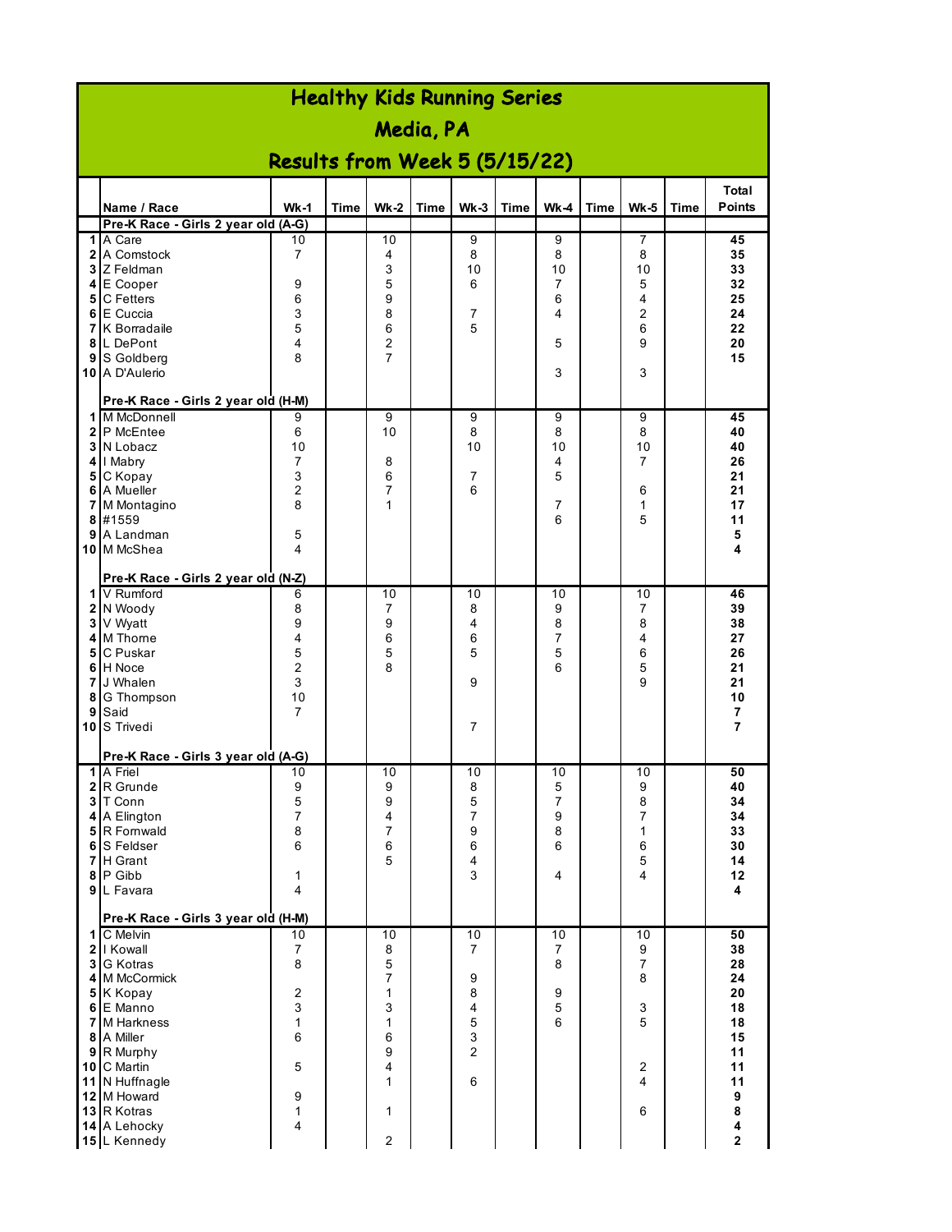|   | <b>Healthy Kids Running Series</b>                 |                                |             |                     |             |                         |      |         |      |                     |      |                        |  |  |
|---|----------------------------------------------------|--------------------------------|-------------|---------------------|-------------|-------------------------|------|---------|------|---------------------|------|------------------------|--|--|
|   | Media, PA                                          |                                |             |                     |             |                         |      |         |      |                     |      |                        |  |  |
|   | Results from Week 5 (5/15/22)                      |                                |             |                     |             |                         |      |         |      |                     |      |                        |  |  |
|   | Name / Race                                        | $Wk-1$                         | <b>Time</b> | <b>Wk-2</b>         | <b>Time</b> | $Wk-3$                  | Time | $Wk-4$  | Time | <b>Wk-5</b>         |      | Total<br><b>Points</b> |  |  |
|   | Pre-K Race - Girls 2 year old (A-G)                |                                |             |                     |             |                         |      |         |      |                     | Time |                        |  |  |
|   | 1 A Care                                           | 10                             |             | 10                  |             | $\overline{9}$          |      | 9       |      | 7                   |      | 45                     |  |  |
|   | 2 A Comstock                                       | $\overline{7}$                 |             | 4                   |             | 8                       |      | 8       |      | 8                   |      | 35                     |  |  |
|   | 3 Z Feldman                                        |                                |             | 3                   |             | 10                      |      | 10      |      | 10                  |      | 33                     |  |  |
|   | 4 E Cooper                                         | 9                              |             | 5                   |             | 6                       |      | 7       |      | 5                   |      | 32                     |  |  |
|   | 5 C Fetters<br>6 E Cuccia                          | 6<br>$\ensuremath{\mathsf{3}}$ |             | 9<br>8              |             | 7                       |      | 6<br>4  |      | 4<br>$\overline{2}$ |      | 25<br>24               |  |  |
|   | <b>7</b> K Borradaile                              | 5                              |             | 6                   |             | 5                       |      |         |      | 6                   |      | 22                     |  |  |
|   | 8 L DePont                                         | 4                              |             | $\overline{2}$      |             |                         |      | 5       |      | 9                   |      | 20                     |  |  |
|   | 9 S Goldberg                                       | 8                              |             | $\overline{7}$      |             |                         |      |         |      |                     |      | 15                     |  |  |
|   | 10 A D'Aulerio                                     |                                |             |                     |             |                         |      | 3       |      | 3                   |      |                        |  |  |
|   | Pre-K Race - Girls 2 year old (H-M)                |                                |             |                     |             |                         |      |         |      |                     |      |                        |  |  |
|   | 1 M McDonnell                                      | 9                              |             | 9                   |             | 9                       |      | 9       |      | 9                   |      | 45                     |  |  |
|   | 2 P McEntee                                        | 6                              |             | 10                  |             | 8<br>10                 |      | 8<br>10 |      | 8                   |      | 40                     |  |  |
|   | 3 N Lobacz<br>4   Mabry                            | 10<br>$\overline{7}$           |             | 8                   |             |                         |      | 4       |      | 10<br>7             |      | 40<br>26               |  |  |
|   | 5 C Kopay                                          | 3                              |             | 6                   |             | 7                       |      | 5       |      |                     |      | 21                     |  |  |
|   | <b>6</b> A Mueller                                 | $\overline{c}$                 |             | 7                   |             | 6                       |      |         |      | 6                   |      | 21                     |  |  |
|   | 7 M Montagino                                      | 8                              |             | 1                   |             |                         |      | 7       |      | 1                   |      | 17                     |  |  |
|   | 8 #1559                                            |                                |             |                     |             |                         |      | 6       |      | 5                   |      | 11                     |  |  |
|   | 9 A Landman<br>10 M McShea                         | 5<br>4                         |             |                     |             |                         |      |         |      |                     |      | 5<br>4                 |  |  |
|   |                                                    |                                |             |                     |             |                         |      |         |      |                     |      |                        |  |  |
|   | Pre-K Race - Girls 2 year old (N-Z)<br>1 V Rumford | 6                              |             | 10                  |             | 10                      |      | 10      |      | 10                  |      | 46                     |  |  |
|   | 2 N Woody                                          | 8                              |             | 7                   |             | 8                       |      | 9       |      | 7                   |      | 39                     |  |  |
|   | 3 V Wyatt                                          | 9                              |             | 9                   |             | 4                       |      | 8       |      | 8                   |      | 38                     |  |  |
|   | 4 M Thorne                                         | 4                              |             | 6                   |             | 6                       |      | 7       |      | 4                   |      | 27                     |  |  |
| 5 | C Puskar                                           | 5                              |             | 5                   |             | 5                       |      | 5       |      | 6                   |      | 26                     |  |  |
|   | 6 H Noce                                           | $\overline{2}$                 |             | 8                   |             |                         |      | 6       |      | 5                   |      | 21                     |  |  |
|   | 7 J Whalen<br>8 G Thompson                         | 3<br>10                        |             |                     |             | 9                       |      |         |      | 9                   |      | 21<br>10               |  |  |
|   | 9 Said                                             | 7                              |             |                     |             |                         |      |         |      |                     |      | 7                      |  |  |
|   | 10 S Trivedi                                       |                                |             |                     |             | 7                       |      |         |      |                     |      | 7                      |  |  |
|   | Pre-K Race - Girls 3 year old (A-G)                |                                |             |                     |             |                         |      |         |      |                     |      |                        |  |  |
|   | 1 A Friel                                          | 10                             |             | 10                  |             | 10                      |      | 10      |      | 10                  |      | 50                     |  |  |
|   | 2 R Grunde                                         | 9                              |             | 9                   |             | 8                       |      | 5       |      | 9                   |      | 40                     |  |  |
|   | 3 T Conn                                           | 5                              |             | 9                   |             | 5                       |      | 7       |      | 8                   |      | 34                     |  |  |
|   | 4 A Elington<br>5 R Fornwald                       | $\overline{7}$<br>8            |             | 4<br>$\overline{7}$ |             | $\overline{7}$<br>9     |      | 9<br>8  |      | $\overline{7}$<br>1 |      | 34<br>33               |  |  |
|   | 6 S Feldser                                        | 6                              |             | 6                   |             | 6                       |      | 6       |      | 6                   |      | 30                     |  |  |
|   | <b>7</b> H Grant                                   |                                |             | 5                   |             | $\overline{\mathbf{4}}$ |      |         |      | 5                   |      | 14                     |  |  |
|   | 8 P Gibb                                           | 1                              |             |                     |             | 3                       |      | 4       |      | 4                   |      | 12                     |  |  |
|   | 9 L Favara                                         | 4                              |             |                     |             |                         |      |         |      |                     |      | 4                      |  |  |
|   | Pre-K Race - Girls 3 year old (H-M)                |                                |             |                     |             |                         |      |         |      |                     |      |                        |  |  |
|   | 1 C Melvin                                         | 10                             |             | 10                  |             | 10                      |      | 10      |      | 10                  |      | 50                     |  |  |
|   | 2   Kowall<br>3 G Kotras                           | 7<br>8                         |             | 8<br>$\,$ 5 $\,$    |             | 7                       |      | 7<br>8  |      | 9<br>$\overline{7}$ |      | 38<br>28               |  |  |
|   | 4 M McCormick                                      |                                |             | 7                   |             | 9                       |      |         |      | 8                   |      | 24                     |  |  |
|   | 5 K Kopay                                          | $\boldsymbol{2}$               |             | 1                   |             | 8                       |      | 9       |      |                     |      | 20                     |  |  |
|   | 6 E Manno                                          | 3                              |             | 3                   |             | 4                       |      | 5       |      | 3                   |      | 18                     |  |  |
|   | 7 M Harkness                                       | 1                              |             | 1                   |             | 5                       |      | 6       |      | 5                   |      | 18                     |  |  |
|   | 8 A Miller                                         | 6                              |             | 6<br>9              |             | 3<br>$\overline{2}$     |      |         |      |                     |      | 15<br>11               |  |  |
|   | 9 R Murphy<br>10 C Martin                          | $\sqrt{5}$                     |             | 4                   |             |                         |      |         |      | 2                   |      | 11                     |  |  |
|   | 11 N Huffnagle                                     |                                |             | 1                   |             | 6                       |      |         |      | 4                   |      | 11                     |  |  |
|   | 12 M Howard                                        | $\boldsymbol{9}$               |             |                     |             |                         |      |         |      |                     |      | $\boldsymbol{9}$       |  |  |
|   | 13 R Kotras                                        | 1                              |             | 1                   |             |                         |      |         |      | 6                   |      | 8                      |  |  |
|   | 14 A Lehocky                                       | 4                              |             | $\mathbf 2$         |             |                         |      |         |      |                     |      | 4<br>$\mathbf{2}$      |  |  |
|   | 15 L Kennedy                                       |                                |             |                     |             |                         |      |         |      |                     |      |                        |  |  |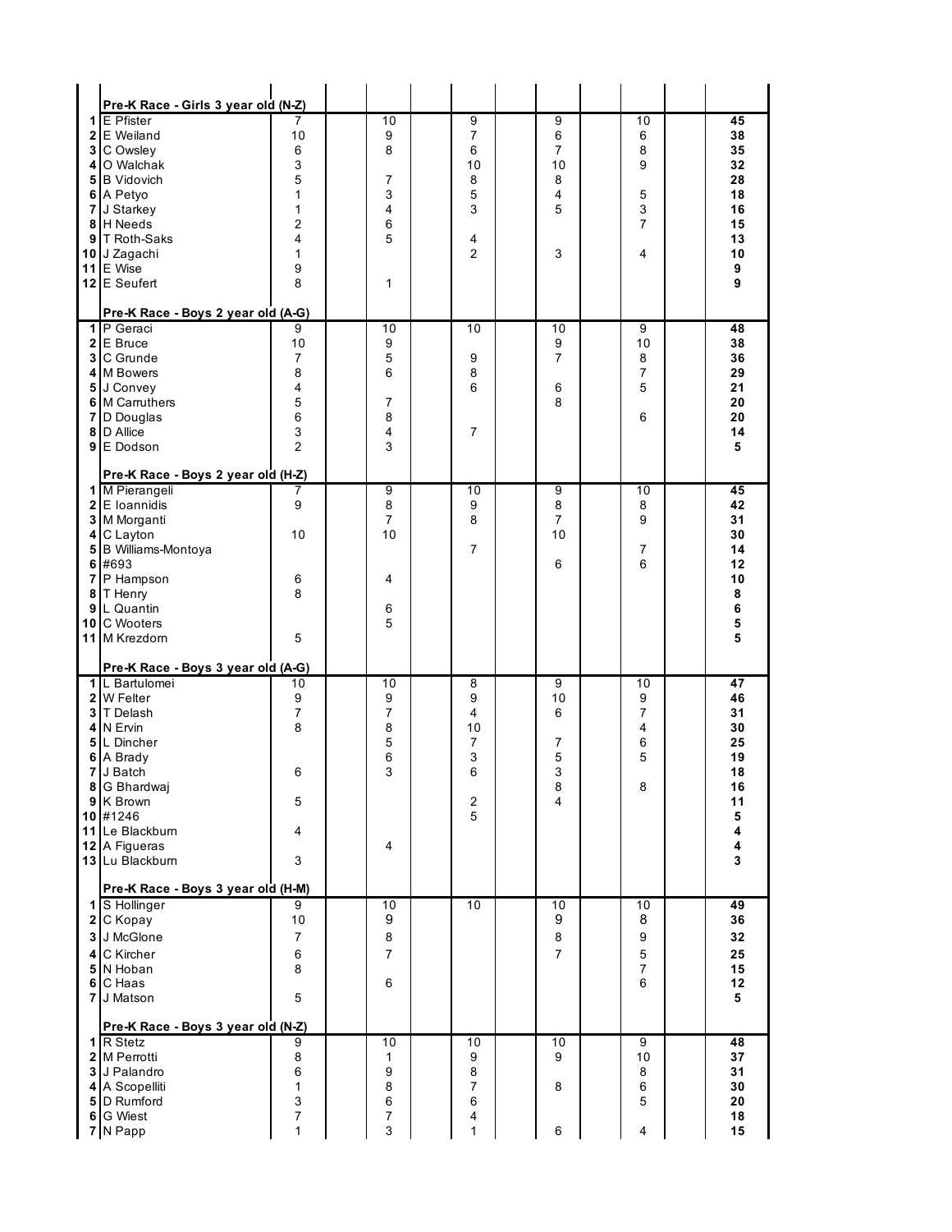| Pre-K Race - Girls 3 year old (N-Z) |                  |                |                |                |                     |          |
|-------------------------------------|------------------|----------------|----------------|----------------|---------------------|----------|
| $1 \mathsf{E}$ Pfister              | 7                | 10             | 9              | 9              | 10                  | 45       |
| 2 E Weiland                         | 10               | 9              | 7              | 6              | 6                   | 38       |
| 3 C Owsley                          | 6                | 8              | 6              | 7              | 8                   | 35       |
| 4 O Walchak                         | 3                |                | 10             | 10             | 9                   | 32       |
| 5 B Vidovich                        | 5                | 7              | 8              | 8              |                     | 28       |
| 6 A Petyo                           | 1                | 3              | 5              | 4              | 5                   | 18       |
| 7 J Starkey                         | 1                | 4              | 3              | 5              | 3                   | 16       |
| 8 H Needs                           | 2                | 6              |                |                | $\overline{7}$      | 15       |
| 9 T Roth-Saks                       | 4                | 5              | 4              |                |                     | 13       |
| 10 J Zagachi                        | 1                |                | $\overline{2}$ | 3              | 4                   | 10       |
| 11 E Wise                           | 9                |                |                |                |                     | 9        |
| 12 E Seufert                        | 8                | 1              |                |                |                     | 9        |
| Pre-K Race - Boys 2 year old (A-G)  |                  |                |                |                |                     |          |
| 1 P Geraci                          | 9                | 10             | 10             | 10             | 9                   | 48       |
| 2 E Bruce                           | 10               | 9              |                | 9              | 10                  | 38       |
| 3 C Grunde                          | 7                | 5              | 9              | 7              | 8                   | 36       |
| 4 M Bowers                          | 8                | 6              | 8              |                | 7                   | 29       |
| 5 J Convey                          | 4                |                | 6              | 6              | 5                   | 21       |
| 6 M Carruthers                      | 5                | 7              |                | 8              |                     | 20       |
| 7 D Douglas                         | 6                | 8              |                |                | 6                   | 20       |
| 8 D Allice                          | 3                | 4              | 7              |                |                     | 14       |
| 9 E Dodson                          | $\overline{2}$   | 3              |                |                |                     | 5        |
| Pre-K Race - Boys 2 year old (H-Z)  |                  |                |                |                |                     |          |
| 1 M Pierangeli                      | 7                | 9              | 10             | 9              | 10                  | 45       |
| 2 E Ioannidis                       | 9                | 8              | 9              | 8              | 8                   | 42       |
| 3 M Morganti                        |                  | $\overline{7}$ | 8              | 7              | 9                   | 31       |
| 4 C Layton                          | 10               | 10             |                | 10             |                     | 30       |
| 5 B Williams-Montoya                |                  |                | 7              |                | 7<br>6              | 14       |
| 6 #693<br>7 P Hampson               |                  | 4              |                | 6              |                     | 12<br>10 |
| 8 T Henry                           | 6<br>8           |                |                |                |                     | 8        |
| 9 L Quantin                         |                  | 6              |                |                |                     | 6        |
| 10 C Wooters                        |                  | 5              |                |                |                     | 5        |
| 11 M Krezdorn                       | 5                |                |                |                |                     | 5        |
| Pre-K Race - Boys 3 year old (A-G)  |                  |                |                |                |                     |          |
| 1 L Bartulomei                      | 10               | 10             | 8              | 9              | 10                  | 47       |
| 2 W Felter                          | 9                | 9              | 9              | 10             | 9                   | 46       |
| 3 T Delash                          | 7                | 7              | 4              | 6              | 7                   | 31       |
| 4 IN Ervin                          | 8                | 8              | 10             |                | 4                   | 30       |
| 5 L Dincher                         |                  | 5              | 7              | 7              | 6                   | 25       |
| 6 A Brady                           |                  | 6              | 3              | 5              | 5                   | 19       |
| 7 J Batch                           | 6                | 3              | 6              | 3              |                     | 18       |
| 8 G Bhardwaj                        |                  |                |                | 8              | 8                   | 16       |
| 9 K Brown                           | 5                |                | $\overline{c}$ | 4              |                     | 11       |
| 10 #1246<br>11 Le Blackburn         |                  |                | 5              |                |                     | 5<br>4   |
| 12 A Figueras                       | 4                | 4              |                |                |                     | 4        |
| 13 Lu Blackburn                     | 3                |                |                |                |                     | 3        |
|                                     |                  |                |                |                |                     |          |
| Pre-K Race - Boys 3 year old (H-M)  |                  |                |                |                |                     |          |
| 1 S Hollinger                       | 9                | 10<br>9        | 10             | 10<br>9        | 10<br>8             | 49       |
| 2 C Kopay                           | 10               |                |                |                |                     | 36       |
| 3 J McGlone                         | $\overline{7}$   | 8              |                | 8              | 9                   | 32       |
| 4 C Kircher                         | $\,6\,$          | $\overline{7}$ |                | $\overline{7}$ | 5                   | 25       |
| 5 N Hoban                           | 8                | 6              |                |                | $\overline{7}$<br>6 | 15<br>12 |
|                                     |                  |                |                |                |                     |          |
| 6 C Haas                            |                  |                |                |                |                     |          |
| 7 J Matson                          | 5                |                |                |                |                     | 5        |
| Pre-K Race - Boys 3 year old (N-Z)  |                  |                |                |                |                     |          |
| 1 R Stetz                           | 9                | 10             | 10             | $10$           | 9                   | 48       |
| 2 M Perrotti                        | 8                | 1              | 9              | 9              | 10                  | 37       |
| 3 J Palandro                        | 6                | 9              | 8              |                | 8                   | 31       |
| 4 A Scopelliti<br>5 D Rumford       | 1<br>$\mathsf 3$ | 8<br>6         | 7<br>6         | 8              | 6<br>5              | 30<br>20 |
| 6 G Wiest                           | $\boldsymbol{7}$ | 7              | 4              |                |                     | 18       |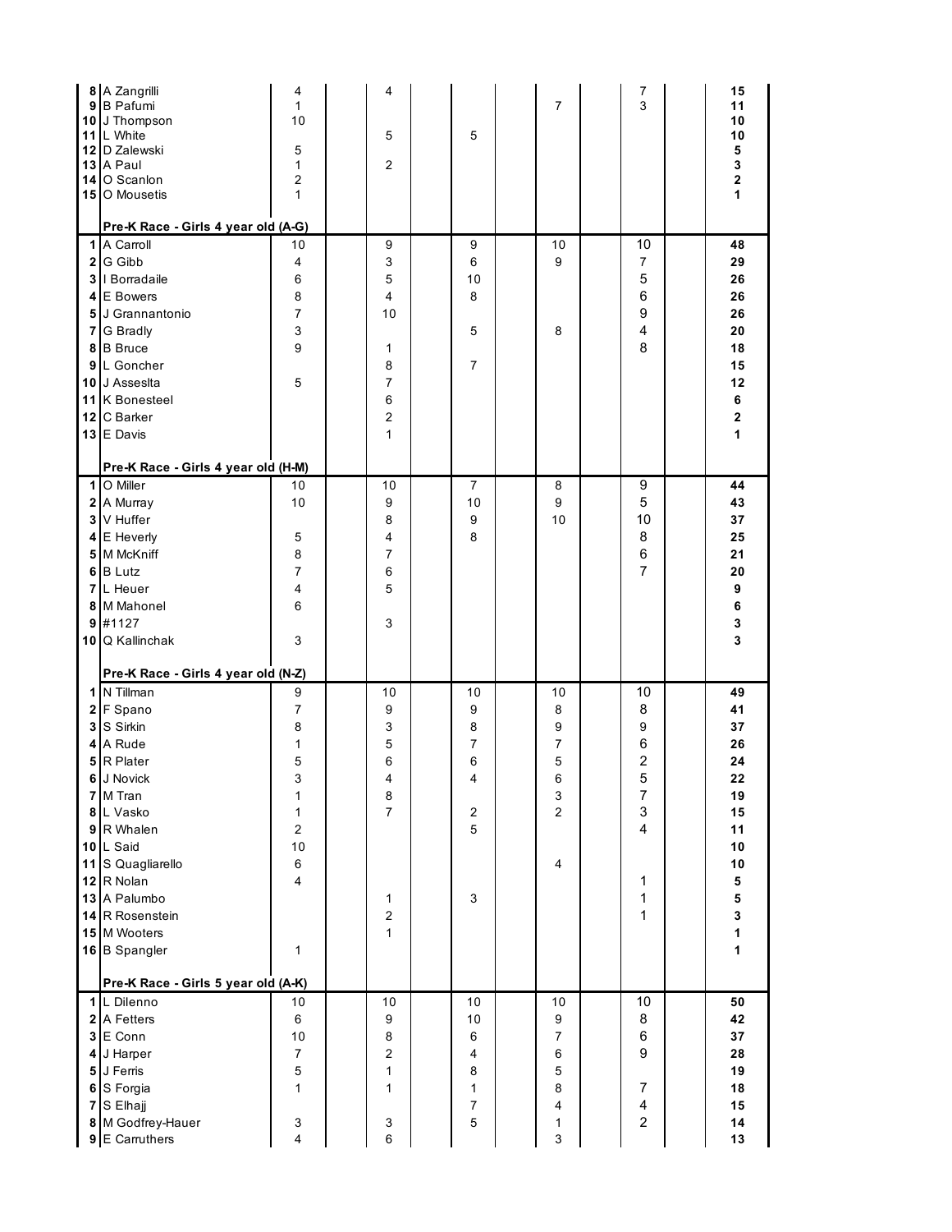|   | 8 A Zangrilli<br>9 <sup>B</sup> Pafumi<br>10 J Thompson<br>11 L White<br>12 D Zalewski<br>13 A Paul<br>14 O Scanlon<br>15 O Mousetis<br>Pre-K Race - Girls 4 year old (A-G)                                                                                                      | 4<br>$\mathbf{1}$<br>10<br>5<br>$\mathbf{1}$<br>$\overline{2}$<br>$\mathbf{1}$                           | 4<br>5<br>2                                                            | 5                                                                         | 7                                          | 7<br>3                                                                                                               | 15<br>11<br>10<br>10<br>5<br>$\mathbf 3$<br>$\mathbf 2$<br>1                                                                            |
|---|----------------------------------------------------------------------------------------------------------------------------------------------------------------------------------------------------------------------------------------------------------------------------------|----------------------------------------------------------------------------------------------------------|------------------------------------------------------------------------|---------------------------------------------------------------------------|--------------------------------------------|----------------------------------------------------------------------------------------------------------------------|-----------------------------------------------------------------------------------------------------------------------------------------|
| 9 | 1 A Carroll<br>2 G Gibb<br>3   Borradaile<br>4 E Bowers<br>5 J Grannantonio<br>7 G Bradly<br>8 B Bruce<br>L Goncher<br>10 J Assesita<br>11 K Bonesteel<br>12 C Barker<br>13 E Davis<br>Pre-K Race - Girls 4 year old (H-M)                                                       | 10<br>4<br>6<br>8<br>$\overline{7}$<br>$\mathsf 3$<br>9<br>5                                             | 9<br>3<br>5<br>4<br>10<br>1<br>8<br>$\overline{7}$<br>6<br>2<br>1      | 9<br>6<br>10<br>8<br>5<br>7                                               | 10<br>9<br>8                               | 10<br>7<br>5<br>6<br>9<br>4<br>8                                                                                     | 48<br>29<br>26<br>26<br>26<br>20<br>18<br>15<br>12<br>6<br>$\mathbf 2$<br>$\mathbf{1}$                                                  |
| 7 | 1 O Miller<br>2 A Murray<br>3 V Huffer<br>4 E Heverly<br>5 M McKniff<br>6 B Lutz<br>L Heuer<br>8 M Mahonel<br>$9$ #1127<br>10 Q Kallinchak<br>Pre-K Race - Girls 4 year old (N-Z)                                                                                                | 10<br>10<br>5<br>8<br>$\overline{7}$<br>$\overline{\mathbf{4}}$<br>6<br>3                                | 10<br>9<br>8<br>4<br>7<br>6<br>5<br>3                                  | 7<br>10<br>9<br>8                                                         | 8<br>9<br>10                               | 9<br>5<br>10<br>8<br>6<br>7                                                                                          | 44<br>43<br>37<br>25<br>21<br>20<br>9<br>6<br>3<br>$\mathbf 3$                                                                          |
|   | 1 N Tillman<br>2 F Spano<br>3 S Sirkin<br>4 A Rude<br>5 R Plater<br>6 J Novick<br>7 M Tran<br>8 L Vasko<br>9 R Whalen<br>10 L Said<br>11 S Quagliarello<br>12 R Nolan<br>13 A Palumbo<br>14 R Rosenstein<br>15 M Wooters<br>16 B Spangler<br>Pre-K Race - Girls 5 year old (A-K) | 9<br>$\overline{7}$<br>8<br>1<br>5<br>3<br>1<br>1<br>$\mathbf 2$<br>10<br>$\,6\,$<br>$\overline{4}$<br>1 | 10<br>9<br>3<br>5<br>6<br>4<br>$\bf8$<br>$\overline{7}$<br>1<br>2<br>1 | 10<br>9<br>8<br>7<br>6<br>4<br>$\overline{\mathbf{c}}$<br>5<br>3          | 10<br>8<br>9<br>7<br>5<br>6<br>3<br>2<br>4 | 10<br>8<br>9<br>6<br>$\overline{\mathbf{c}}$<br>5<br>$\overline{7}$<br>3<br>$\overline{4}$<br>1<br>1<br>$\mathbf{1}$ | 49<br>41<br>37<br>26<br>24<br>22<br>19<br>15<br>11<br>10<br>10<br>${\bf 5}$<br>${\bf 5}$<br>$\mathbf 3$<br>$\mathbf{1}$<br>$\mathbf{1}$ |
|   | 1 L Dilenno<br>2 A Fetters<br>3 E Conn<br>4 J Harper<br>5 J Ferris<br>6 S Forgia<br>7 S Elhajj<br>8 M Godfrey-Hauer<br>9 E Carruthers                                                                                                                                            | 10<br>6<br>10<br>$\overline{7}$<br>$\mathbf 5$<br>1<br>3<br>$\overline{\mathbf{4}}$                      | 10<br>9<br>$\bf8$<br>2<br>1<br>1<br>3<br>$\,6$                         | 10<br>10<br>6<br>$\overline{\mathbf{4}}$<br>8<br>1<br>$\overline{7}$<br>5 | 10<br>9<br>7<br>6<br>5<br>8<br>4<br>1<br>3 | 10<br>8<br>$\,6$<br>$\boldsymbol{9}$<br>$\overline{7}$<br>4<br>$\overline{c}$                                        | 50<br>42<br>$37\,$<br>28<br>19<br>18<br>15<br>14<br>13                                                                                  |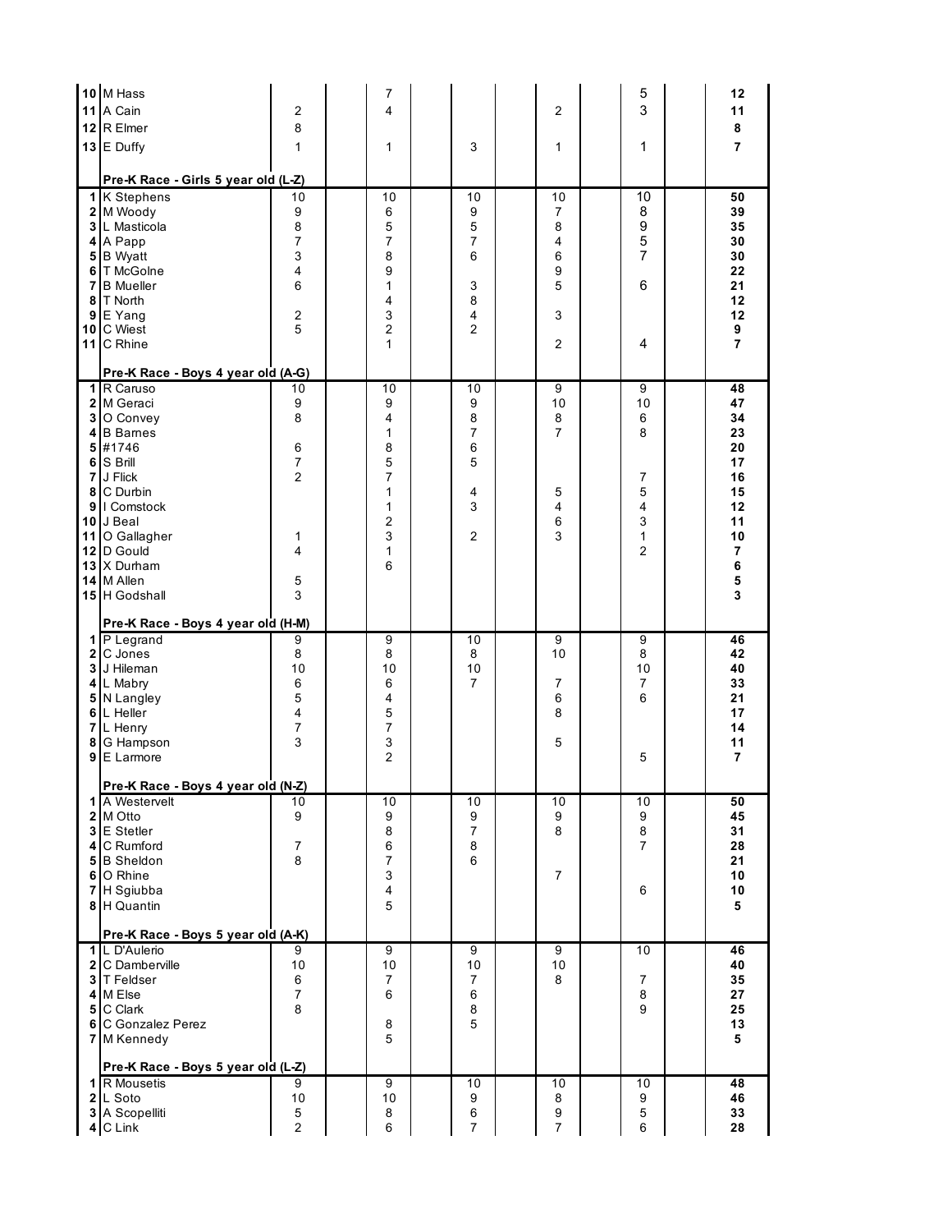|              | 10 M Hass<br>11 A Cain                              | $\overline{2}$                            | 7<br>4               |                          | 2                        | 5<br>3                   | 12<br>11       |
|--------------|-----------------------------------------------------|-------------------------------------------|----------------------|--------------------------|--------------------------|--------------------------|----------------|
|              | 12 R Elmer                                          | 8                                         |                      |                          |                          |                          | 8              |
|              | 13 E Duffy                                          | $\mathbf{1}$                              | 1                    | 3                        | 1                        | 1                        | $\overline{7}$ |
|              |                                                     |                                           |                      |                          |                          |                          |                |
|              | Pre-K Race - Girls 5 year old (L-Z)<br>1 K Stephens | 10                                        | 10                   | 10                       | 10                       | 10                       | 50             |
|              | 2 M Woody                                           | 9                                         | 6                    | 9                        | 7                        | 8                        | 39             |
|              | 3 L Masticola                                       | 8                                         | 5                    | 5                        | 8                        | 9                        | 35             |
|              | 4 A Papp                                            | 7                                         | 7                    | 7                        | 4                        | 5                        | 30             |
|              | 5 B Wyatt                                           | 3                                         | 8                    | 6                        | 6                        | $\overline{7}$           | 30             |
|              | 6 T McGolne<br><b>7</b> B Mueller                   | $\overline{4}$<br>6                       | 9<br>1               | 3                        | 9<br>5                   | 6                        | 22<br>21       |
| 8            | T North                                             |                                           | 4                    | 8                        |                          |                          | 12             |
|              | $9E$ Yang                                           | $\overline{2}$                            | 3                    | 4                        | 3                        |                          | 12             |
|              | 10 C Wiest                                          | 5                                         | $\overline{2}$       | $\overline{2}$           |                          |                          | 9              |
|              | 11 C Rhine                                          |                                           | 1                    |                          | $\overline{2}$           | 4                        | $\overline{7}$ |
|              | Pre-K Race - Boys 4 year old (A-G)                  |                                           |                      |                          |                          |                          |                |
|              | 1 R Caruso                                          | 10                                        | 10                   | 10                       | $\overline{9}$           | 9                        | 48             |
|              | 2 M Geraci<br>3 O Convey                            | 9<br>8                                    | 9<br>4               | 9                        | 10                       | 10                       | 47<br>34       |
|              | 4 B Barnes                                          |                                           | 1                    | 8<br>7                   | 8<br>7                   | 6<br>8                   | 23             |
|              | 5 #1746                                             | 6                                         | 8                    | 6                        |                          |                          | 20             |
|              | 6 S Brill                                           | $\boldsymbol{7}$                          | 5                    | 5                        |                          |                          | 17             |
|              | 7 J Flick                                           | $\overline{2}$                            | 7                    |                          |                          | 7                        | 16             |
|              | 8 C Durbin<br>9   Comstock                          |                                           | 1<br>1               | 4<br>3                   | 5<br>4                   | 5<br>4                   | 15<br>12       |
|              | 10 J Beal                                           |                                           | $\overline{2}$       |                          | 6                        | 3                        | 11             |
|              | 11 O Gallagher                                      | 1                                         | 3                    | 2                        | 3                        | $\mathbf{1}$             | 10             |
|              | 12 D Gould                                          | 4                                         | 1                    |                          |                          | $\overline{2}$           | $\overline{7}$ |
|              | 13 X Durham                                         |                                           | 6                    |                          |                          |                          | 6              |
|              | 14 M Allen<br>15 H Godshall                         | 5<br>3                                    |                      |                          |                          |                          | 5<br>3         |
|              |                                                     |                                           |                      |                          |                          |                          |                |
|              | Pre-K Race - Boys 4 year old (H-M)<br>1 P Legrand   | 9                                         | 9                    | 10                       | 9                        | 9                        | 46             |
| $\mathbf{2}$ | C Jones                                             | 8                                         | 8                    | 8                        | 10                       | 8                        | 42             |
|              | 3 J Hileman                                         | 10                                        | 10                   | 10                       |                          | 10                       | 40             |
|              | 4 L Mabry                                           | 6                                         | 6                    | 7                        | 7                        | $\overline{7}$           | 33             |
|              | 5 N Langley                                         | 5                                         | 4                    |                          | 6                        | 6                        | 21             |
| 7            | 6 L Heller<br>L Henry                               | $\overline{\mathbf{4}}$<br>$\overline{7}$ | 5<br>$\overline{7}$  |                          | 8                        |                          | 17<br>14       |
| 8            | G Hampson                                           | 3                                         | 3                    |                          | 5                        |                          | 11             |
| 9            | E Larmore                                           |                                           | 2                    |                          |                          | 5                        | $\overline{7}$ |
|              | Pre-K Race - Boys 4 year old (N-Z)                  |                                           |                      |                          |                          |                          |                |
|              | 1 A Westervelt                                      | 10                                        | 10                   | 10                       | 10                       | 10                       | 50             |
|              | 2 M Otto                                            | 9                                         | 9                    | 9                        | 9                        | 9                        | 45             |
|              | 3 E Stetler<br>4 C Rumford                          |                                           | 8                    | $\overline{7}$           | 8                        | $\bf8$<br>$\overline{7}$ | 31<br>28       |
|              | 5 <sup>B</sup> Sheldon                              | $\overline{7}$<br>8                       | 6<br>7               | 8<br>6                   |                          |                          | 21             |
|              | 6 O Rhine                                           |                                           | 3                    |                          | $\overline{7}$           |                          | 10             |
|              | 7 H Sgiubba                                         |                                           | 4                    |                          |                          | 6                        | 10             |
|              | 8 H Quantin                                         |                                           | 5                    |                          |                          |                          | 5              |
|              | Pre-K Race - Boys 5 year old (A-K)                  |                                           |                      |                          |                          |                          |                |
|              | 1 L D'Aulerio<br>2 C Damberville                    | 9<br>$10$                                 | $\overline{9}$<br>10 | 9<br>10                  | $\overline{9}$<br>10     | 10                       | 46<br>40       |
|              | 3 T Feldser                                         | 6                                         | 7                    | 7                        | 8                        | $\overline{7}$           | 35             |
|              | 4 M Else                                            | $\boldsymbol{7}$                          | 6                    | 6                        |                          | 8                        | 27             |
|              | 5 C Clark                                           | 8                                         |                      | 8                        |                          | 9                        | 25             |
|              | 6 C Gonzalez Perez<br>7 M Kennedy                   |                                           | 8<br>5               | 5                        |                          |                          | 13<br>5        |
|              |                                                     |                                           |                      |                          |                          |                          |                |
|              |                                                     |                                           |                      |                          |                          |                          |                |
|              | Pre-K Race - Boys 5 year old (L-Z)                  |                                           |                      |                          |                          |                          |                |
|              | 1 R Mousetis<br>2 L Soto                            | 9                                         | $\overline{9}$       | 10                       | 10                       | 10                       | 48<br>46       |
|              | 3 A Scopelliti<br>4 C Link                          | 10<br>$\,$ 5 $\,$<br>$\overline{2}$       | 10<br>8<br>6         | 9<br>6<br>$\overline{7}$ | 8<br>9<br>$\overline{7}$ | 9<br>5<br>6              | 33<br>28       |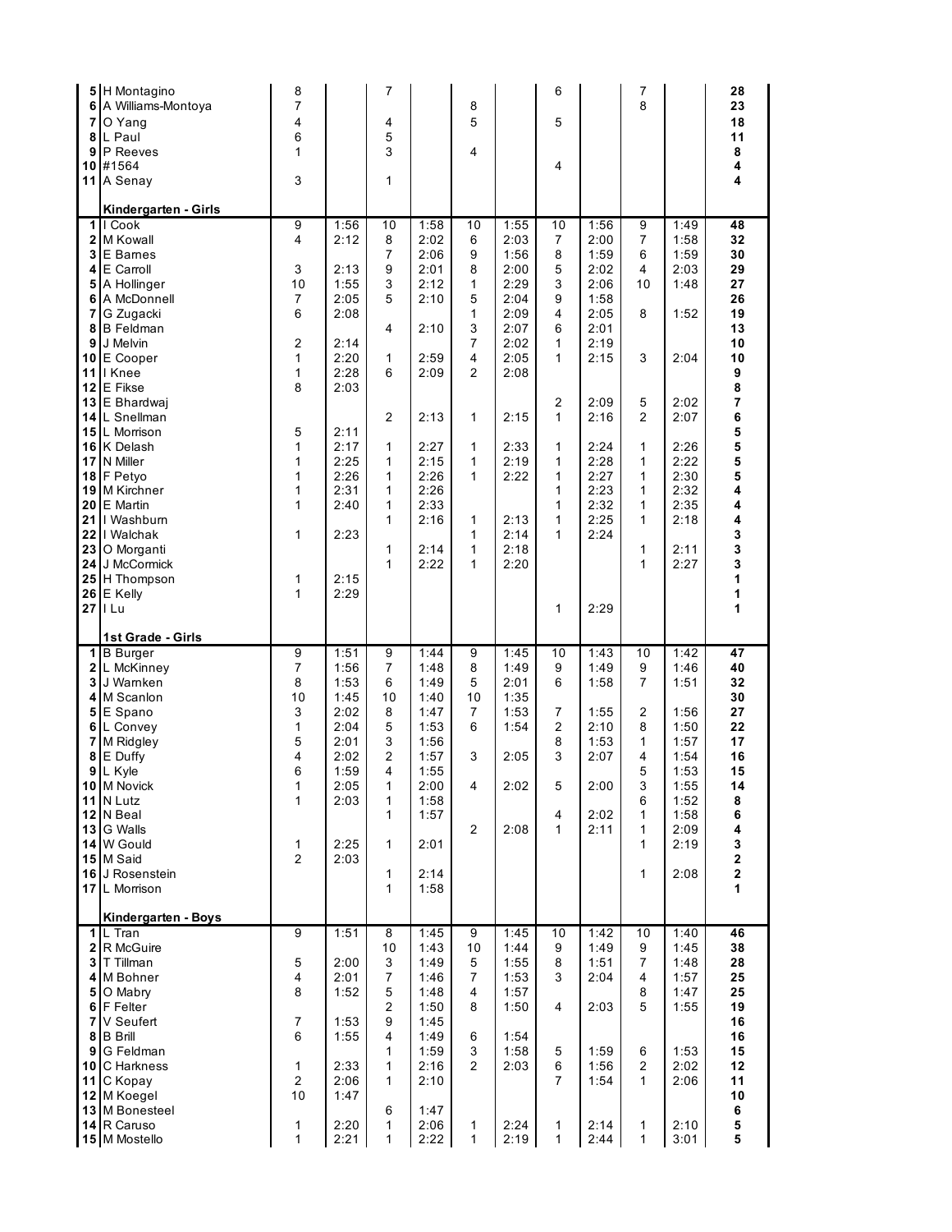| 6<br>7<br>9<br>10                                                 | 5 H Montagino<br>A Williams-Montoya<br>O Yang<br>8 L Paul<br>P Reeves<br>#1564<br>11 A Senay                                                                                                                                                                                                                                                                                                                                             | 8<br>7<br>4<br>6<br>$\mathbf{1}$<br>3                                                                                                                                                                          |                                                                                                                                                      | 7<br>4<br>5<br>3<br>1                                                                                |                                                                                                                                              | 8<br>5<br>4                                                                                                                                                                   |                                                                                                                                                      | 6<br>5<br>4                                                                                                                        |                                                                                                                                                              | 7<br>8                                                                                          |                                                                                                                                      | 28<br>23<br>18<br>11<br>8<br>4<br>4                                                                                                             |
|-------------------------------------------------------------------|------------------------------------------------------------------------------------------------------------------------------------------------------------------------------------------------------------------------------------------------------------------------------------------------------------------------------------------------------------------------------------------------------------------------------------------|----------------------------------------------------------------------------------------------------------------------------------------------------------------------------------------------------------------|------------------------------------------------------------------------------------------------------------------------------------------------------|------------------------------------------------------------------------------------------------------|----------------------------------------------------------------------------------------------------------------------------------------------|-------------------------------------------------------------------------------------------------------------------------------------------------------------------------------|------------------------------------------------------------------------------------------------------------------------------------------------------|------------------------------------------------------------------------------------------------------------------------------------|--------------------------------------------------------------------------------------------------------------------------------------------------------------|-------------------------------------------------------------------------------------------------|--------------------------------------------------------------------------------------------------------------------------------------|-------------------------------------------------------------------------------------------------------------------------------------------------|
| 5<br>7<br>9<br>10<br>15<br>17<br>19<br>20<br>21<br>23<br>24<br>26 | Kindergarten - Girls<br>1 II Cook<br>2 M Kowall<br>3 E Barnes<br>4 E Carroll<br>A Hollinger<br>6 A McDonnell<br>G Zugacki<br>8 B Feldman<br>J Melvin<br>E Cooper<br>11   Knee<br>12 E Fikse<br>13 E Bhardwaj<br>14 L Snellman<br>L Morrison<br>16 K Delash<br>N Miller<br>18 F Petyo<br>M Kirchner<br>E Martin<br>I Washburn<br>22   Walchak<br>O Morganti<br>J McCormick<br>25 H Thompson<br>E Kelly<br>$27$    Lu<br>1st Grade - Girls | 9<br>4<br>3<br>10<br>$\overline{7}$<br>6<br>$\overline{2}$<br>$\mathbf{1}$<br>$\mathbf{1}$<br>8<br>5<br>$\mathbf{1}$<br>$\mathbf{1}$<br>$\mathbf{1}$<br>$\mathbf{1}$<br>$\mathbf{1}$<br>$\mathbf{1}$<br>1<br>1 | 1:56<br>2:12<br>2:13<br>1:55<br>2:05<br>2:08<br>2:14<br>2:20<br>2:28<br>2:03<br>2:11<br>2:17<br>2:25<br>2:26<br>2:31<br>2:40<br>2:23<br>2:15<br>2:29 | 10<br>8<br>7<br>9<br>3<br>5<br>4<br>1<br>6<br>$\overline{2}$<br>1<br>1<br>1<br>1<br>1<br>1<br>1<br>1 | 1:58<br>2:02<br>2:06<br>2:01<br>2:12<br>2:10<br>2:10<br>2:59<br>2:09<br>2:13<br>2:27<br>2:15<br>2:26<br>2:26<br>2:33<br>2:16<br>2:14<br>2:22 | 10<br>6<br>9<br>8<br>1<br>5<br>1<br>3<br>$\overline{7}$<br>4<br>$\overline{2}$<br>$\mathbf{1}$<br>$\mathbf{1}$<br>1<br>1<br>1<br>$\mathbf{1}$<br>$\mathbf{1}$<br>$\mathbf{1}$ | 1:55<br>2:03<br>1:56<br>2:00<br>2:29<br>2:04<br>2:09<br>2:07<br>2:02<br>2:05<br>2:08<br>2:15<br>2:33<br>2:19<br>2:22<br>2:13<br>2:14<br>2:18<br>2:20 | 10<br>7<br>8<br>5<br>3<br>9<br>4<br>6<br>$\mathbf{1}$<br>$\mathbf{1}$<br>2<br>1<br>1<br>1<br>1<br>1<br>1<br>1<br>$\mathbf{1}$<br>1 | 1:56<br>2:00<br>1:59<br>2:02<br>2:06<br>1:58<br>2:05<br>2:01<br>2:19<br>2:15<br>2:09<br>2:16<br>2:24<br>2:28<br>2:27<br>2:23<br>2:32<br>2:25<br>2:24<br>2:29 | 9<br>7<br>6<br>4<br>10<br>8<br>3<br>5<br>$\overline{2}$<br>1<br>1<br>1<br>1<br>1<br>1<br>1<br>1 | 1:49<br>1:58<br>1:59<br>2:03<br>1:48<br>1:52<br>2:04<br>2:02<br>2:07<br>2:26<br>2:22<br>2:30<br>2:32<br>2:35<br>2:18<br>2:11<br>2:27 | 48<br>32<br>30<br>29<br>27<br>26<br>19<br>13<br>10<br>10<br>9<br>8<br>7<br>6<br>5<br>5<br>5<br>5<br>4<br>4<br>4<br>3<br>3<br>3<br>1<br>1<br>1   |
| 5<br>7                                                            | 1 <sup>B</sup> Burger<br>2 L McKinney<br><b>3</b> J Warnken<br>4 M Scanlon<br>E Spano<br>6 L Convey<br>M Ridgley<br>8 E Duffy<br>9 L Kyle<br><b>10 M Novick</b><br>11 N Lutz<br>12 N Beal<br>13 <sup>I</sup> G Walls<br>14 W Gould<br>15 M Said<br>16 J Rosenstein<br>17 L Morrison<br>Kindergarten - Boys                                                                                                                               | 9<br>7<br>8<br>10<br>3<br>1<br>5<br>4<br>6<br>1<br>$\mathbf{1}$<br>1<br>$\overline{2}$                                                                                                                         | 1:51<br>1:56<br>1:53<br>1:45<br>2:02<br>2:04<br>2:01<br>2:02<br>1:59<br>2:05<br>2:03<br>2:25<br>2:03                                                 | $\overline{9}$<br>7<br>6<br>10<br>8<br>5<br>3<br>2<br>4<br>1<br>1<br>1<br>1<br>1<br>$\mathbf{1}$     | 1:44<br>1:48<br>1:49<br>1:40<br>1:47<br>1:53<br>1:56<br>1:57<br>1:55<br>2:00<br>1:58<br>1:57<br>2:01<br>2:14<br>1:58                         | 9<br>8<br>5<br>10<br>7<br>6<br>3<br>4<br>$\overline{2}$                                                                                                                       | 1:45<br>1:49<br>2:01<br>1:35<br>1:53<br>1:54<br>2:05<br>2:02<br>2:08                                                                                 | 10<br>9<br>6<br>7<br>2<br>8<br>3<br>5<br>4<br>$\mathbf{1}$                                                                         | 1:43<br>1:49<br>1:58<br>1:55<br>2:10<br>1:53<br>2:07<br>2:00<br>2:02<br>2:11                                                                                 | 10<br>9<br>7<br>$\overline{2}$<br>8<br>1<br>4<br>5<br>3<br>6<br>1<br>1<br>1<br>$\mathbf{1}$     | 1:42<br>1:46<br>1:51<br>1:56<br>1:50<br>1:57<br>1:54<br>1:53<br>1:55<br>1:52<br>1:58<br>2:09<br>2:19<br>2:08                         | $\overline{47}$<br>40<br>32<br>30<br>27<br>22<br>17<br>16<br>15<br>14<br>8<br>6<br>4<br>3<br>$\overline{\mathbf{2}}$<br>$\bf 2$<br>$\mathbf{1}$ |
|                                                                   | 1 <sup>IL</sup> Tran<br>2 R McGuire<br>3 T Tillman<br>4 M Bohner<br>5 O Mabry<br>6 F Felter<br>7 V Seufert<br>8 B Brill<br>9 G Feldman<br>10 C Harkness<br>11 C Kopay<br>12 M Koegel<br>13 M Bonesteel<br>14 R Caruso                                                                                                                                                                                                                    | 9<br>5<br>4<br>8<br>$\overline{7}$<br>6<br>$\mathbf{1}$<br>$\overline{2}$<br>10<br>1                                                                                                                           | 1:51<br>2:00<br>2:01<br>1:52<br>1:53<br>1:55<br>2:33<br>2:06<br>1:47<br>2:20                                                                         | 8<br>10<br>3<br>$\overline{7}$<br>5<br>$\overline{2}$<br>9<br>4<br>1<br>1<br>1<br>6<br>1             | 1:45<br>1:43<br>1:49<br>1:46<br>1:48<br>1:50<br>1:45<br>1:49<br>1:59<br>2:16<br>2:10<br>1:47<br>2:06                                         | 9<br>10<br>5<br>$\overline{7}$<br>4<br>8<br>6<br>3<br>$\overline{2}$<br>1                                                                                                     | 1:45<br>1:44<br>1:55<br>1:53<br>1:57<br>1:50<br>1:54<br>1:58<br>2:03<br>2:24                                                                         | 10<br>9<br>8<br>3<br>4<br>5<br>6<br>$\overline{7}$<br>1                                                                            | 1:42<br>1:49<br>1:51<br>2:04<br>2:03<br>1:59<br>1:56<br>1:54<br>2:14                                                                                         | 10<br>9<br>$\overline{7}$<br>4<br>8<br>5<br>6<br>$\overline{2}$<br>$\mathbf{1}$<br>1            | 1:40<br>1:45<br>1:48<br>1:57<br>1:47<br>1:55<br>1:53<br>2:02<br>2:06<br>2:10                                                         | 46<br>38<br>28<br>25<br>25<br>19<br>16<br>16<br>15<br>12<br>11<br>10<br>6<br>5                                                                  |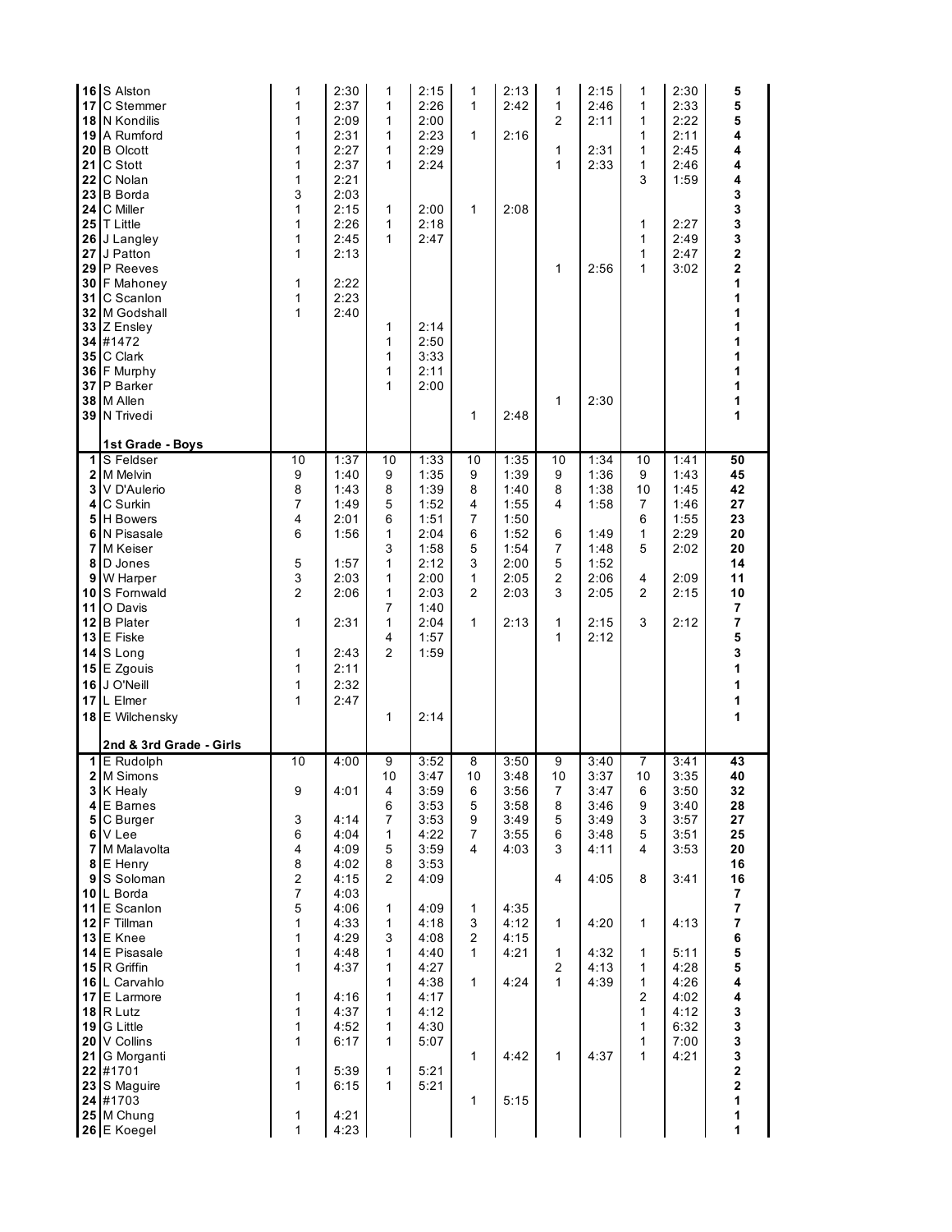| 17<br>18<br>20<br>21<br>22<br>23<br>24<br>30<br>31<br>32 <sub>2</sub><br>37 | 16 S Alston<br>C Stemmer<br>N Kondilis<br>19 A Rumford<br><b>B</b> Olcott<br>C Stott<br>C Nolan<br><b>B</b> Borda<br>C Miller<br>25 T Little<br>26 J Langley<br>27 J Patton<br>29 P Reeves<br>F Mahoney<br>C Scanlon<br>M Godshall<br>33 Z Ensley<br>34 #1472<br>35 C Clark<br>36 F Murphy<br>P Barker<br>38 M Allen<br>39 N Trivedi                                                 | 1<br>1<br>$\mathbf{1}$<br>1<br>1<br>$\mathbf{1}$<br>1<br>3<br>$\mathbf{1}$<br>$\mathbf{1}$<br>1<br>$\mathbf{1}$<br>1<br>1<br>$\mathbf{1}$            | 2:30<br>2:37<br>2:09<br>2:31<br>2:27<br>2:37<br>2:21<br>2:03<br>2:15<br>2:26<br>2:45<br>2:13<br>2:22<br>2:23<br>2:40                                                 | 1<br>1<br>1<br>1<br>1<br>1<br>1<br>1<br>1<br>1<br>1<br>1<br>1<br>1                                                                                                                                                         | 2:15<br>2:26<br>2:00<br>2:23<br>2:29<br>2:24<br>2:00<br>2:18<br>2:47<br>2:14<br>2:50<br>3:33<br>2:11<br>2:00                                                         | 1<br>1<br>$\mathbf{1}$<br>$\mathbf{1}$<br>$\mathbf{1}$                                                                                    | 2:13<br>2:42<br>2:16<br>2:08<br>2:48                                                                         | 1<br>1<br>$\overline{2}$<br>1<br>$\mathbf{1}$<br>$\mathbf{1}$<br>1                                                                   | 2:15<br>2:46<br>2:11<br>2:31<br>2:33<br>2:56<br>2:30                                                 | 1<br>1<br>1<br>1<br>1<br>1<br>3<br>1<br>1<br>1<br>1                                           | 2:30<br>2:33<br>2:22<br>2:11<br>2:45<br>2:46<br>1:59<br>2:27<br>2:49<br>2:47<br>3:02                                                 | 5<br>5<br>5<br>4<br>4<br>4<br>4<br>3<br>3<br>3<br>3<br>2<br>2<br>1<br>1<br>1<br>1<br>1<br>1<br>1<br>1<br>1<br>1                                                                   |
|-----------------------------------------------------------------------------|--------------------------------------------------------------------------------------------------------------------------------------------------------------------------------------------------------------------------------------------------------------------------------------------------------------------------------------------------------------------------------------|------------------------------------------------------------------------------------------------------------------------------------------------------|----------------------------------------------------------------------------------------------------------------------------------------------------------------------|----------------------------------------------------------------------------------------------------------------------------------------------------------------------------------------------------------------------------|----------------------------------------------------------------------------------------------------------------------------------------------------------------------|-------------------------------------------------------------------------------------------------------------------------------------------|--------------------------------------------------------------------------------------------------------------|--------------------------------------------------------------------------------------------------------------------------------------|------------------------------------------------------------------------------------------------------|-----------------------------------------------------------------------------------------------|--------------------------------------------------------------------------------------------------------------------------------------|-----------------------------------------------------------------------------------------------------------------------------------------------------------------------------------|
| 4<br>6<br>8<br>9<br>10<br>11<br>13                                          | 1st Grade - Boys<br>1 S Feldser<br>2 M Melvin<br>3 V D'Aulerio<br>C Surkin<br>5 H Bowers<br>N Pisasale<br>7 M Keiser<br>D Jones<br>W Harper<br>S Fornwald<br>O Davis<br>12 B Plater<br>E Fiske<br>14 S Long<br>15 E Zgouis<br>16 J O'Neill<br>17 L Elmer<br>18 E Wilchensky<br>2nd & 3rd Grade - Girls                                                                               | 10<br>9<br>8<br>7<br>4<br>6<br>5<br>3<br>$\overline{c}$<br>1<br>1<br>1<br>1<br>$\mathbf{1}$                                                          | 1:37<br>1:40<br>1:43<br>1:49<br>2:01<br>1:56<br>1:57<br>2:03<br>2:06<br>2:31<br>2:43<br>2:11<br>2:32<br>2:47                                                         | 10<br>9<br>8<br>5<br>6<br>1<br>3<br>1<br>1<br>1<br>7<br>1<br>4<br>$\overline{2}$<br>1                                                                                                                                      | 1:33<br>1:35<br>1:39<br>1:52<br>1:51<br>2:04<br>1:58<br>2:12<br>2:00<br>2:03<br>1:40<br>2:04<br>1:57<br>1:59<br>2:14                                                 | 10<br>9<br>8<br>4<br>$\overline{7}$<br>6<br>5<br>3<br>$\mathbf{1}$<br>$\overline{2}$<br>$\mathbf{1}$                                      | 1:35<br>1:39<br>1:40<br>1:55<br>1:50<br>1:52<br>1:54<br>2:00<br>2:05<br>2:03<br>2:13                         | 10<br>9<br>8<br>4<br>6<br>7<br>5<br>2<br>3<br>$\mathbf{1}$<br>$\mathbf{1}$                                                           | 1:34<br>1:36<br>1:38<br>1:58<br>1:49<br>1:48<br>1:52<br>2:06<br>2:05<br>2:15<br>2:12                 | 10<br>9<br>10<br>7<br>6<br>1<br>5<br>$\overline{4}$<br>$\overline{2}$<br>3                    | 1:41<br>1:43<br>1:45<br>1:46<br>1:55<br>2:29<br>2:02<br>2:09<br>2:15<br>2:12                                                         | 50<br>45<br>42<br>27<br>23<br>20<br>20<br>14<br>11<br>10<br>7<br>$\overline{7}$<br>5<br>3<br>1<br>1<br>1<br>$\mathbf{1}$                                                          |
| 4<br>9<br>11                                                                | 1 E Rudolph<br>2 M Simons<br>3 K Healy<br>E Barnes<br>5 C Burger<br>6 V Lee<br>7 M Malavolta<br>8 E Henry<br>S Soloman<br>10 L Borda<br>E Scanlon<br>12 F Tillman<br>13 E Knee<br>14 E Pisasale<br>15 R Griffin<br>16 L Carvahlo<br>17 E Larmore<br>$18$ R Lutz<br>19 G Little<br>20 V Collins<br>21 G Morganti<br>22 #1701<br>23 S Maguire<br>24 #1703<br>25 M Chung<br>26 E Koegel | 10<br>9<br>3<br>6<br>4<br>8<br>$\overline{2}$<br>7<br>5<br>$\mathbf{1}$<br>$\mathbf{1}$<br>1<br>1<br>1<br>1<br>1<br>1<br>1<br>$\mathbf{1}$<br>1<br>1 | 4:00<br>4:01<br>4:14<br>4:04<br>4:09<br>4:02<br>4:15<br>4:03<br>4:06<br>4:33<br>4:29<br>4:48<br>4:37<br>4:16<br>4:37<br>4:52<br>6:17<br>5:39<br>6:15<br>4:21<br>4:23 | $\overline{9}$<br>10<br>$\overline{\mathbf{4}}$<br>6<br>$\overline{7}$<br>$\mathbf{1}$<br>5<br>8<br>$\overline{2}$<br>1<br>$\mathbf{1}$<br>3<br>1<br>$\mathbf{1}$<br>1<br>1<br>1<br>1<br>$\mathbf{1}$<br>$\mathbf{1}$<br>1 | 3:52<br>3:47<br>3:59<br>3:53<br>3:53<br>4:22<br>3:59<br>3:53<br>4:09<br>4:09<br>4:18<br>4:08<br>4:40<br>4:27<br>4:38<br>4:17<br>4:12<br>4:30<br>5:07<br>5:21<br>5:21 | 8<br>10<br>6<br>5<br>9<br>$\overline{7}$<br>4<br>1<br>3<br>$\overline{2}$<br>$\mathbf{1}$<br>$\mathbf{1}$<br>$\mathbf{1}$<br>$\mathbf{1}$ | 3:50<br>3:48<br>3:56<br>3:58<br>3:49<br>3:55<br>4:03<br>4:35<br>4:12<br>4:15<br>4:21<br>4:24<br>4:42<br>5:15 | 9<br>10<br>$\overline{7}$<br>8<br>5<br>6<br>3<br>4<br>$\mathbf{1}$<br>$\mathbf{1}$<br>$\overline{2}$<br>$\mathbf{1}$<br>$\mathbf{1}$ | 3:40<br>3:37<br>3:47<br>3:46<br>3:49<br>3:48<br>4:11<br>4:05<br>4:20<br>4:32<br>4:13<br>4:39<br>4:37 | 7<br>10<br>6<br>9<br>3<br>5<br>4<br>8<br>$\mathbf{1}$<br>1<br>1<br>1<br>2<br>1<br>1<br>1<br>1 | 3:41<br>3:35<br>3:50<br>3:40<br>3:57<br>3:51<br>3:53<br>3:41<br>4:13<br>5:11<br>4:28<br>4:26<br>4:02<br>4:12<br>6:32<br>7:00<br>4:21 | 43<br>40<br>32<br>28<br>27<br>25<br>20<br>16<br>16<br>$\overline{7}$<br>$\overline{7}$<br>$\bf 7$<br>6<br>5<br>5<br>4<br>4<br>3<br>3<br>3<br>3<br>2<br>$\mathbf 2$<br>1<br>1<br>1 |